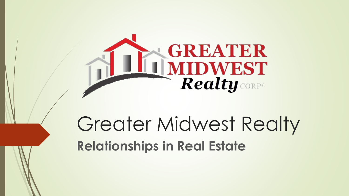

# Greater Midwest Realty **Relationships in Real Estate**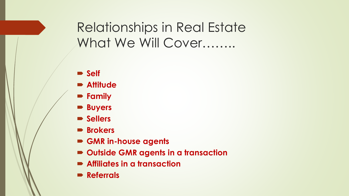## Relationships in Real Estate What We Will Cover…….

- **Self**
- **Attitude**
- **Family**
- **Buyers**
- **Sellers**
- **Brokers**
- **GMR in-house agents**
- **Outside GMR agents in a transaction**
- **Affiliates in a transaction**
- **Referrals**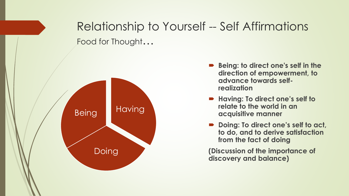### Relationship to Yourself -- Self Affirmations Food for Thought…



- **Being: to direct one's self in the direction of empowerment, to advance towards selfrealization**
- **Having: To direct one's self to relate to the world in an acquisitive manner**
- Doing: To direct one's self to act, **to do, and to derive satisfaction from the fact of doing**

**(Discussion of the importance of discovery and balance)**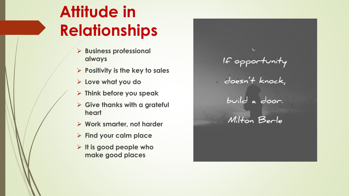# **Attitude in Relationships**

- ➢ **Business professional always**
- ➢ **Positivity is the key to sales**
- ➢ **Love what you do**
- ➢ **Think before you speak**
- ➢ **Give thanks with a grateful heart**
- ➢ **Work smarter, not harder**
- ➢ **Find your calm place**
- ➢ **It is good people who make good places**

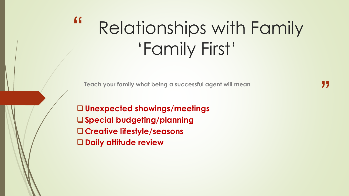### " Relationships with Family 'Family First'

**Teach your family what being a successful agent will mean**

❑**Unexpected showings/meetings** ❑**Special budgeting/planning** ❑**Creative lifestyle/seasons** ❑**Daily attitude review**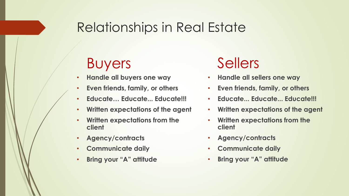### Relationships in Real Estate

## Buyers

- **Handle all buyers one way**
- **Even friends, family, or others**
- **Educate… Educate... Educate!!!**
- **Written expectations of the agent**
- **Written expectations from the client**
- **Agency/contracts**
- **Communicate daily**
- **Bring your "A" attitude**

## Sellers

- **Handle all sellers one way**
- **Even friends, family, or others**
- **Educate... Educate... Educate!!!**
- **Written expectations of the agent**
- **Written expectations from the client**
- **Agency/contracts**
- **Communicate daily**
- **Bring your "A" attitude**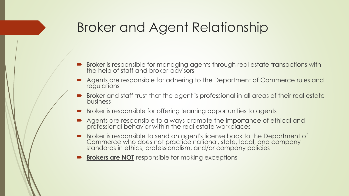### Broker and Agent Relationship

- Broker is responsible for managing agents through real estate transactions with the help of staff and broker-advisors
- Agents are responsible for adhering to the Department of Commerce rules and regulations
- Broker and staff trust that the agent is professional in all areas of their real estate business
- **Broker is responsible for offering learning opportunities to agents**
- Agents are responsible to always promote the importance of ethical and professional behavior within the real estate workplaces
- Broker is responsible to send an agent's license back to the Department of Commerce who does not practice national, state, local, and company standards in ethics, professionalism, and/or company policies
- **Brokers are NOT** responsible for making exceptions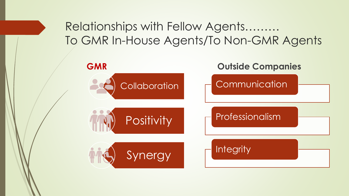#### Relationships with Fellow Agents……… To GMR In-House Agents/To Non-GMR Agents

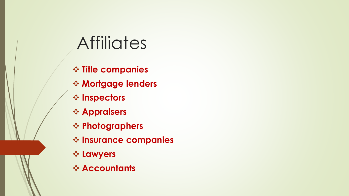# **Affiliates**

❖ **Title companies** ❖ **Mortgage lenders** ❖ **Inspectors** ❖ **Appraisers** ❖ **Photographers** ❖ **Insurance companies** ❖ **Lawyers** ❖ **Accountants**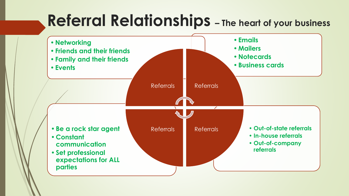# **Referral Relationships – The heart of your business**